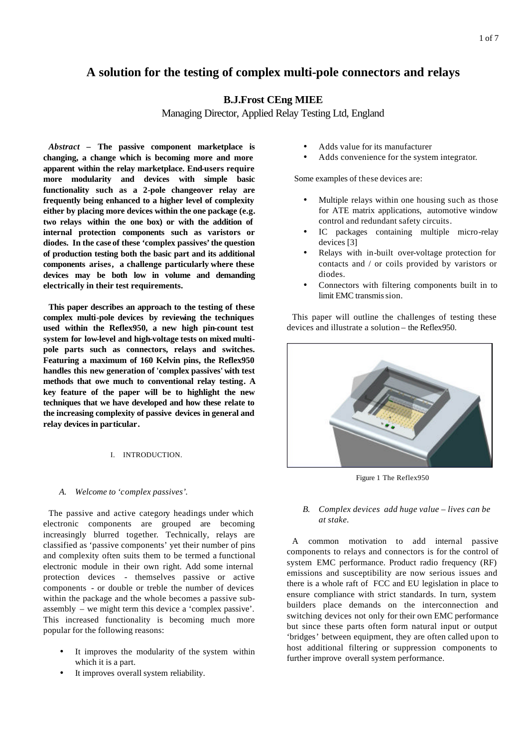# **A solution for the testing of complex multi-pole connectors and relays**

# **B.J.Frost CEng MIEE**

Managing Director, Applied Relay Testing Ltd, England

*Abstract* **– The passive component marketplace is changing, a change which is becoming more and more apparent within the relay marketplace. End-users require more modularity and devices with simple basic functionality such as a 2-pole changeover relay are frequently being enhanced to a higher level of complexity either by placing more devices within the one package (e.g. two relays within the one box) or with the addition of internal protection components such as varistors or diodes. In the case of these 'complex passives' the question of production testing both the basic part and its additional components arises, a challenge particularly where these devices may be both low in volume and demanding electrically in their test requirements.**

**This paper describes an approach to the testing of these complex multi-pole devices by reviewing the techniques used within the Reflex950, a new high pin-count test system for low-level and high-voltage tests on mixed multipole parts such as connectors, relays and switches. Featuring a maximum of 160 Kelvin pins, the Reflex950 handles this new generation of 'complex passives' with test methods that owe much to conventional relay testing. A key feature of the paper will be to highlight the new techniques that we have developed and how these relate to the increasing complexity of passive devices in general and relay devices in particular.**

## I. INTRODUCTION.

## *A. Welcome to 'complex passives'.*

The passive and active category headings under which electronic components are grouped are becoming increasingly blurred together. Technically, relays are classified as 'passive components' yet their number of pins and complexity often suits them to be termed a functional electronic module in their own right. Add some internal protection devices - themselves passive or active components - or double or treble the number of devices within the package and the whole becomes a passive subassembly – we might term this device a 'complex passive'. This increased functionality is becoming much more popular for the following reasons:

- It improves the modularity of the system within which it is a part.
- It improves overall system reliability.
- Adds value for its manufacturer
- Adds convenience for the system integrator.

Some examples of these devices are:

- Multiple relays within one housing such as those for ATE matrix applications, automotive window control and redundant safety circuits.
- IC packages containing multiple micro-relay devices [3]
- Relays with in-built over-voltage protection for contacts and / or coils provided by varistors or diodes.
- Connectors with filtering components built in to limit EMC transmis sion.

This paper will outline the challenges of testing these devices and illustrate a solution – the Reflex950.



Figure 1 The Reflex950

## *B. Complex devices add huge value – lives can be at stake.*

A common motivation to add internal passive components to relays and connectors is for the control of system EMC performance. Product radio frequency (RF) emissions and susceptibility are now serious issues and there is a whole raft of FCC and EU legislation in place to ensure compliance with strict standards. In turn, system builders place demands on the interconnection and switching devices not only for their own EMC performance but since these parts often form natural input or output 'bridges' between equipment, they are often called upon to host additional filtering or suppression components to further improve overall system performance.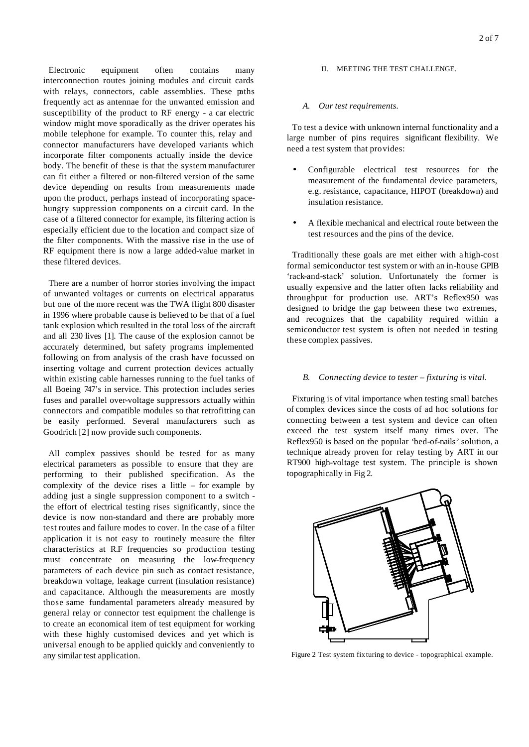Electronic equipment often contains many interconnection routes joining modules and circuit cards with relays, connectors, cable assemblies. These paths frequently act as antennae for the unwanted emission and susceptibility of the product to RF energy - a car electric window might move sporadically as the driver operates his mobile telephone for example. To counter this, relay and connector manufacturers have developed variants which incorporate filter components actually inside the device body. The benefit of these is that the system manufacturer can fit either a filtered or non-filtered version of the same device depending on results from measurements made upon the product, perhaps instead of incorporating spacehungry suppression components on a circuit card. In the case of a filtered connector for example, its filtering action is especially efficient due to the location and compact size of the filter components. With the massive rise in the use of RF equipment there is now a large added-value market in these filtered devices.

There are a number of horror stories involving the impact of unwanted voltages or currents on electrical apparatus but one of the more recent was the TWA flight 800 disaster in 1996 where probable cause is believed to be that of a fuel tank explosion which resulted in the total loss of the aircraft and all 230 lives [1]. The cause of the explosion cannot be accurately determined, but safety programs implemented following on from analysis of the crash have focussed on inserting voltage and current protection devices actually within existing cable harnesses running to the fuel tanks of all Boeing 747's in service. This protection includes series fuses and parallel over-voltage suppressors actually within connectors and compatible modules so that retrofitting can be easily performed. Several manufacturers such as Goodrich [2] now provide such components.

All complex passives should be tested for as many electrical parameters as possible to ensure that they are performing to their published specification. As the complexity of the device rises a little – for example by adding just a single suppression component to a switch the effort of electrical testing rises significantly, since the device is now non-standard and there are probably more test routes and failure modes to cover. In the case of a filter application it is not easy to routinely measure the filter characteristics at R.F frequencies so production testing must concentrate on measuring the low-frequency parameters of each device pin such as contact resistance, breakdown voltage, leakage current (insulation resistance) and capacitance. Although the measurements are mostly those same fundamental parameters already measured by general relay or connector test equipment the challenge is to create an economical item of test equipment for working with these highly customised devices and yet which is universal enough to be applied quickly and conveniently to any similar test application.

#### II. MEETING THE TEST CHALLENGE.

#### *A. Our test requirements.*

To test a device with unknown internal functionality and a large number of pins requires significant flexibility. We need a test system that provides:

- Configurable electrical test resources for the measurement of the fundamental device parameters, e.g. resistance, capacitance, HIPOT (breakdown) and insulation resistance.
- A flexible mechanical and electrical route between the test resources and the pins of the device.

Traditionally these goals are met either with a high-cost formal semiconductor test system or with an in-house GPIB 'rack-and-stack' solution. Unfortunately the former is usually expensive and the latter often lacks reliability and throughput for production use. ART's Reflex950 was designed to bridge the gap between these two extremes, and recognizes that the capability required within a semiconductor test system is often not needed in testing these complex passives.

#### *B. Connecting device to tester – fixturing is vital.*

Fixturing is of vital importance when testing small batches of complex devices since the costs of ad hoc solutions for connecting between a test system and device can often exceed the test system itself many times over. The Reflex950 is based on the popular 'bed-of-nails' solution, a technique already proven for relay testing by ART in our RT900 high-voltage test system. The principle is shown topographically in Fig 2.



Figure 2 Test system fixturing to device - topographical example.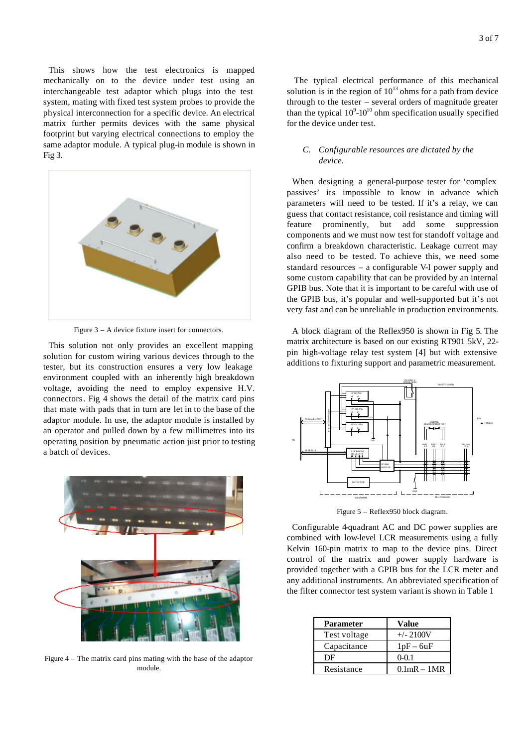This shows how the test electronics is mapped mechanically on to the device under test using an interchangeable test adaptor which plugs into the test system, mating with fixed test system probes to provide the physical interconnection for a specific device. An electrical matrix further permits devices with the same physical footprint but varying electrical connections to employ the same adaptor module. A typical plug-in module is shown in Fig 3.



Figure 3 – A device fixture insert for connectors.

This solution not only provides an excellent mapping solution for custom wiring various devices through to the tester, but its construction ensures a very low leakage environment coupled with an inherently high breakdown voltage, avoiding the need to employ expensive H.V. connectors. Fig 4 shows the detail of the matrix card pins that mate with pads that in turn are let in to the base of the adaptor module. In use, the adaptor module is installed by an operator and pulled down by a few millimetres into its operating position by pneumatic action just prior to testing a batch of devices.



Figure 4 – The matrix card pins mating with the base of the adaptor module.

The typical electrical performance of this mechanical solution is in the region of  $10^{13}$  ohms for a path from device through to the tester – several orders of magnitude greater than the typical  $10^9$ - $10^{10}$  ohm specification usually specified for the device under test.

## *C. Configurable resources are dictated by the device.*

When designing a general-purpose tester for 'complex passives' its impossible to know in advance which parameters will need to be tested. If it's a relay, we can guess that contact resistance, coil resistance and timing will feature prominently, but add some suppression components and we must now test for standoff voltage and confirm a breakdown characteristic. Leakage current may also need to be tested. To achieve this, we need some standard resources – a configurable V-I power supply and some custom capability that can be provided by an internal GPIB bus. Note that it is important to be careful with use of the GPIB bus, it's popular and well-supported but it's not very fast and can be unreliable in production environments.

A block diagram of the Reflex950 is shown in Fig 5. The matrix architecture is based on our existing RT901 5kV, 22 pin high-voltage relay test system [4] but with extensive additions to fixturing support and parametric measurement.



Figure 5 – Reflex950 block diagram.

Configurable 4-quadrant AC and DC power supplies are combined with low-level LCR measurements using a fully Kelvin 160-pin matrix to map to the device pins. Direct control of the matrix and power supply hardware is provided together with a GPIB bus for the LCR meter and any additional instruments. An abbreviated specification of the filter connector test system variant is shown in Table 1

| <b>Parameter</b> | <b>Value</b>     |
|------------------|------------------|
| Test voltage     | $+/- 2100V$      |
| Capacitance      | $1pF - 6uF$      |
| DE               | $0 - 0.1$        |
| Resistance       | $0.1$ mR $-1$ MR |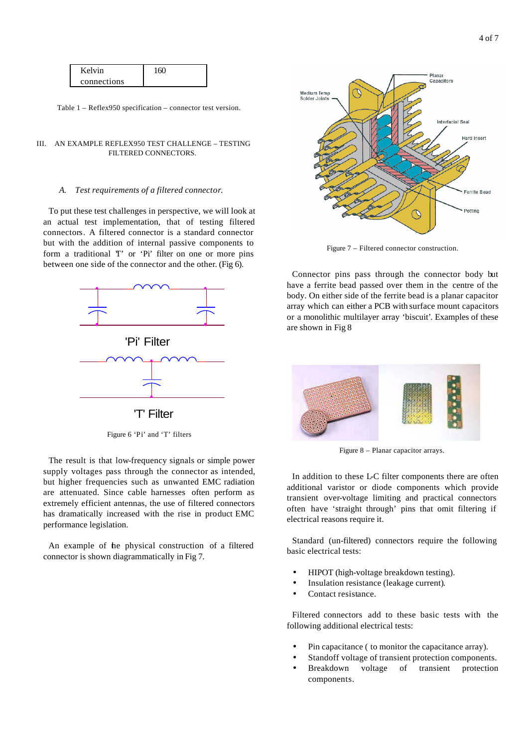| Kelvin      | 160 |
|-------------|-----|
| connections |     |

Table 1 – Reflex950 specification – connector test version.

#### III. AN EXAMPLE REFLEX950 TEST CHALLENGE – TESTING FILTERED CONNECTORS.

# *A. Test requirements of a filtered connector.*

To put these test challenges in perspective, we will look at an actual test implementation, that of testing filtered connectors. A filtered connector is a standard connector but with the addition of internal passive components to form a traditional T' or 'Pi' filter on one or more pins between one side of the connector and the other. (Fig 6).



Figure 6 'Pi' and 'T' filters

The result is that low-frequency signals or simple power supply voltages pass through the connector as intended, but higher frequencies such as unwanted EMC radiation are attenuated. Since cable harnesses often perform as extremely efficient antennas, the use of filtered connectors has dramatically increased with the rise in product EMC performance legislation.

An example of the physical construction of a filtered connector is shown diagrammatically in Fig 7.



Figure 7 – Filtered connector construction.

Connector pins pass through the connector body but have a ferrite bead passed over them in the centre of the body. On either side of the ferrite bead is a planar capacitor array which can either a PCB with surface mount capacitors or a monolithic multilayer array 'biscuit'. Examples of these are shown in Fig 8



Figure 8 – Planar capacitor arrays.

In addition to these L-C filter components there are often additional varistor or diode components which provide transient over-voltage limiting and practical connectors often have 'straight through' pins that omit filtering if electrical reasons require it.

Standard (un-filtered) connectors require the following basic electrical tests:

- HIPOT (high-voltage breakdown testing).
- Insulation resistance (leakage current).
- Contact resistance.

Filtered connectors add to these basic tests with the following additional electrical tests:

- Pin capacitance ( to monitor the capacitance array).
- Standoff voltage of transient protection components.
- Breakdown voltage of transient protection components.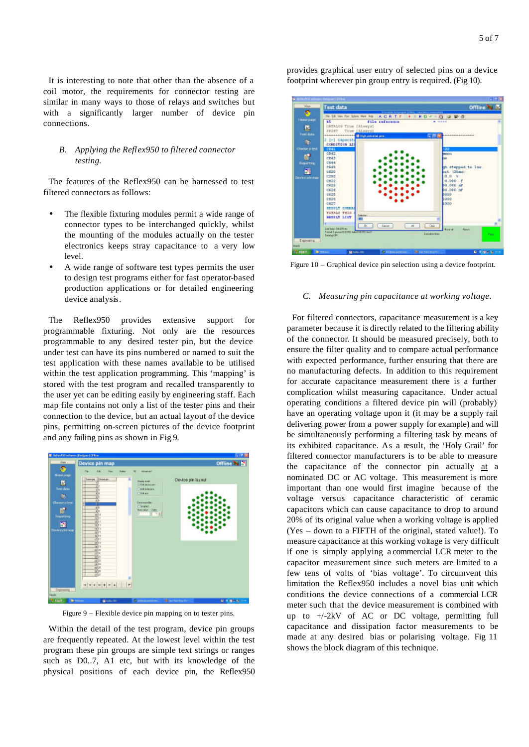It is interesting to note that other than the absence of a coil motor, the requirements for connector testing are similar in many ways to those of relays and switches but with a significantly larger number of device pin connections.

# *B. Applying the Reflex950 to filtered connector testing.*

The features of the Reflex950 can be harnessed to test filtered connectors as follows:

- The flexible fixturing modules permit a wide range of connector types to be interchanged quickly, whilst the mounting of the modules actually on the tester electronics keeps stray capacitance to a very low level.
- A wide range of software test types permits the user to design test programs either for fast operator-based production applications or for detailed engineering device analysis.

The Reflex950 provides extensive support for programmable fixturing. Not only are the resources programmable to any desired tester pin, but the device under test can have its pins numbered or named to suit the test application with these names available to be utilised within the test application programming. This 'mapping' is stored with the test program and recalled transparently to the user yet can be editing easily by engineering staff. Each map file contains not only a list of the tester pins and their connection to the device, but an actual layout of the device pins, permitting on-screen pictures of the device footprint and any failing pins as shown in Fig 9.



Figure 9 – Flexible device pin mapping on to tester pins.

Within the detail of the test program, device pin groups are frequently repeated. At the lowest level within the test program these pin groups are simple text strings or ranges such as D0..7, A1 etc, but with its knowledge of the physical positions of each device pin, the Reflex950 provides graphical user entry of selected pins on a device footprint wherever pin group entry is required. (Fig 10).



Figure 10 – Graphical device pin selection using a device footprint.

#### *C. Measuring pin capacitance at working voltage.*

For filtered connectors, capacitance measurement is a key parameter because it is directly related to the filtering ability of the connector. It should be measured precisely, both to ensure the filter quality and to compare actual performance with expected performance, further ensuring that there are no manufacturing defects. In addition to this requirement for accurate capacitance measurement there is a further complication whilst measuring capacitance. Under actual operating conditions a filtered device pin will (probably) have an operating voltage upon it (it may be a supply rail delivering power from a power supply for example) and will be simultaneously performing a filtering task by means of its exhibited capacitance. As a result, the 'Holy Grail' for filtered connector manufacturers is to be able to measure the capacitance of the connector pin actually at a nominated DC or AC voltage. This measurement is more important than one would first imagine because of the voltage versus capacitance characteristic of ceramic capacitors which can cause capacitance to drop to around 20% of its original value when a working voltage is applied (Yes – down to a FIFTH of the original, stated value!). To measure capacitance at this working voltage is very difficult if one is simply applying a commercial LCR meter to the capacitor measurement since such meters are limited to a few tens of volts of 'bias voltage'. To circumvent this limitation the Reflex950 includes a novel bias unit which conditions the device connections of a commercial LCR meter such that the device measurement is combined with up to +/-2kV of AC or DC voltage, permitting full capacitance and dissipation factor measurements to be made at any desired bias or polarising voltage. Fig 11 shows the block diagram of this technique.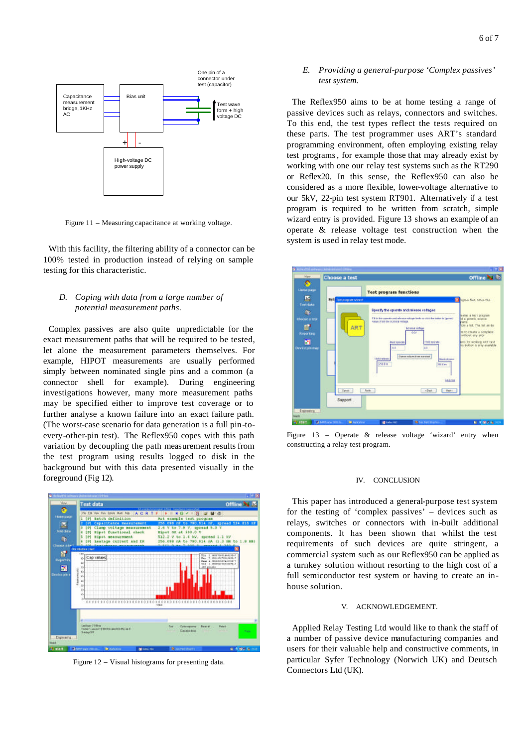

Figure 11 – Measuring capacitance at working voltage.

With this facility, the filtering ability of a connector can be 100% tested in production instead of relying on sample testing for this characteristic.

## *D. Coping with data from a large number of potential measurement paths.*

Complex passives are also quite unpredictable for the exact measurement paths that will be required to be tested, let alone the measurement parameters themselves. For example, HIPOT measurements are usually performed simply between nominated single pins and a common (a connector shell for example). During engineering investigations however, many more measurement paths may be specified either to improve test coverage or to further analyse a known failure into an exact failure path. (The worst-case scenario for data generation is a full pin-toevery-other-pin test). The Reflex950 copes with this path variation by decoupling the path measurement results from the test program using results logged to disk in the background but with this data presented visually in the foreground (Fig 12).



Figure 12 – Visual histograms for presenting data.

## *E. Providing a general-purpose 'Complex passives' test system.*

The Reflex950 aims to be at home testing a range of passive devices such as relays, connectors and switches. To this end, the test types reflect the tests required on these parts. The test programmer uses ART's standard programming environment, often employing existing relay test programs, for example those that may already exist by working with one our relay test systems such as the RT290 or Reflex20. In this sense, the Reflex950 can also be considered as a more flexible, lower-voltage alternative to our 5kV, 22-pin test system RT901. Alternatively if a test program is required to be written from scratch, simple wizard entry is provided. Figure 13 shows an example of an operate & release voltage test construction when the system is used in relay test mode.



Figure 13 – Operate & release voltage 'wizard' entry when constructing a relay test program.

## IV. CONCLUSION

This paper has introduced a general-purpose test system for the testing of 'complex passives' – devices such as relays, switches or connectors with in-built additional components. It has been shown that whilst the test requirements of such devices are quite stringent, a commercial system such as our Reflex950 can be applied as a turnkey solution without resorting to the high cost of a full semiconductor test system or having to create an inhouse solution.

#### V. ACKNOWLEDGEMENT.

Applied Relay Testing Ltd would like to thank the staff of a number of passive device manufacturing companies and users for their valuable help and constructive comments, in particular Syfer Technology (Norwich UK) and Deutsch Connectors Ltd (UK).